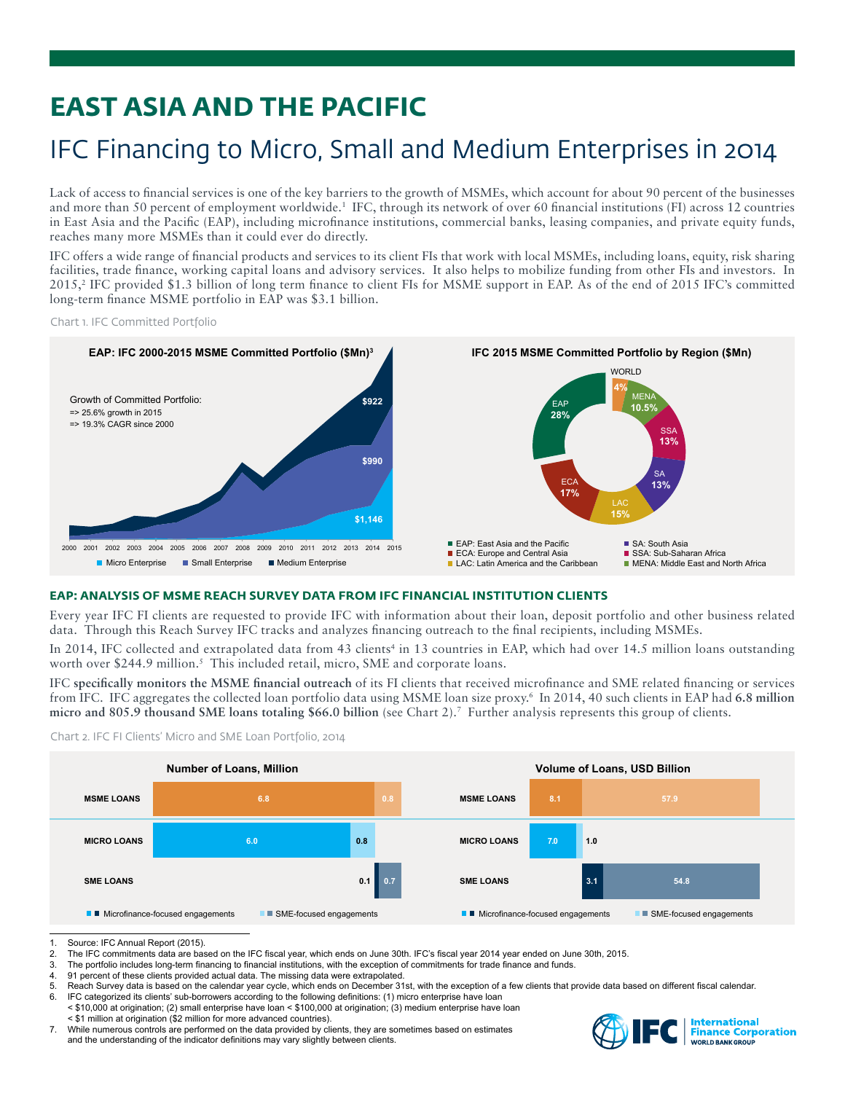# **EAST ASIA AND THE PACIFIC**

## IFC Financing to Micro, Small and Medium Enterprises in 2014

Lack of access to financial services is one of the key barriers to the growth of MSMEs, which account for about 90 percent of the businesses and more than 50 percent of employment worldwide.<sup>1</sup> IFC, through its network of over 60 financial institutions (FI) across 12 countries in East Asia and the Pacific (EAP), including microfinance institutions, commercial banks, leasing companies, and private equity funds, reaches many more MSMEs than it could ever do directly.

IFC offers a wide range of financial products and services to its client FIs that work with local MSMEs, including loans, equity, risk sharing facilities, trade finance, working capital loans and advisory services. It also helps to mobilize funding from other FIs and investors. In 2015,<sup>2</sup> IFC provided \$1.3 billion of long term finance to client FIs for MSME support in EAP. As of the end of 2015 IFC's committed long-term finance MSME portfolio in EAP was \$3.1 billion.

Chart 1. IFC Committed Portfolio



## **EAP: ANALYSIS OF MSME REACH SURVEY DATA FROM IFC FINANCIAL INSTITUTION CLIENTS**

Every year IFC FI clients are requested to provide IFC with information about their loan, deposit portfolio and other business related data. Through this Reach Survey IFC tracks and analyzes financing outreach to the final recipients, including MSMEs.

In 2014, IFC collected and extrapolated data from 43 clients<sup>4</sup> in 13 countries in EAP, which had over 14.5 million loans outstanding worth over \$244.9 million.<sup>5</sup> This included retail, micro, SME and corporate loans.

IFC **specifically monitors the MSME financial outreach** of its FI clients that received microfinance and SME related financing or services from IFC. IFC aggregates the collected loan portfolio data using MSME loan size proxy.6 In 2014, 40 such clients in EAP had **6.8 million micro and 805.9 thousand SME loans totaling \$66.0 billion** (see Chart 2).7 Further analysis represents this group of clients.

Chart 2. IFC FI Clients' Micro and SME Loan Portfolio, 2014



<sup>1.</sup> Source: IFC Annual Report (2015).<br>2. The IFC commitments data are base

- 3. The portfolio includes long-term financing to financial institutions, with the exception of commitments for trade finance and funds.<br>4. 91 percent of these clients provided actual data. The missing data were extrapolate
- 91 percent of these clients provided actual data. The missing data were extrapolated.
- 5. Reach Survey data is based on the calendar year cycle, which ends on December 31st, with the exception of a few clients that provide data based on different fiscal calendar.<br>6. IEC categorized its clients' sub-borrowers
- IFC categorized its clients' sub-borrowers according to the following definitions: (1) micro enterprise have loan < \$10,000 at origination; (2) small enterprise have loan < \$100,000 at origination; (3) medium enterprise have loan < \$1 million at origination (\$2 million for more advanced countries).
- 7. While numerous controls are performed on the data provided by clients, they are sometimes based on estimates and the understanding of the indicator definitions may vary slightly between clients.



The IFC commitments data are based on the IFC fiscal year, which ends on June 30th. IFC's fiscal year 2014 year ended on June 30th, 2015.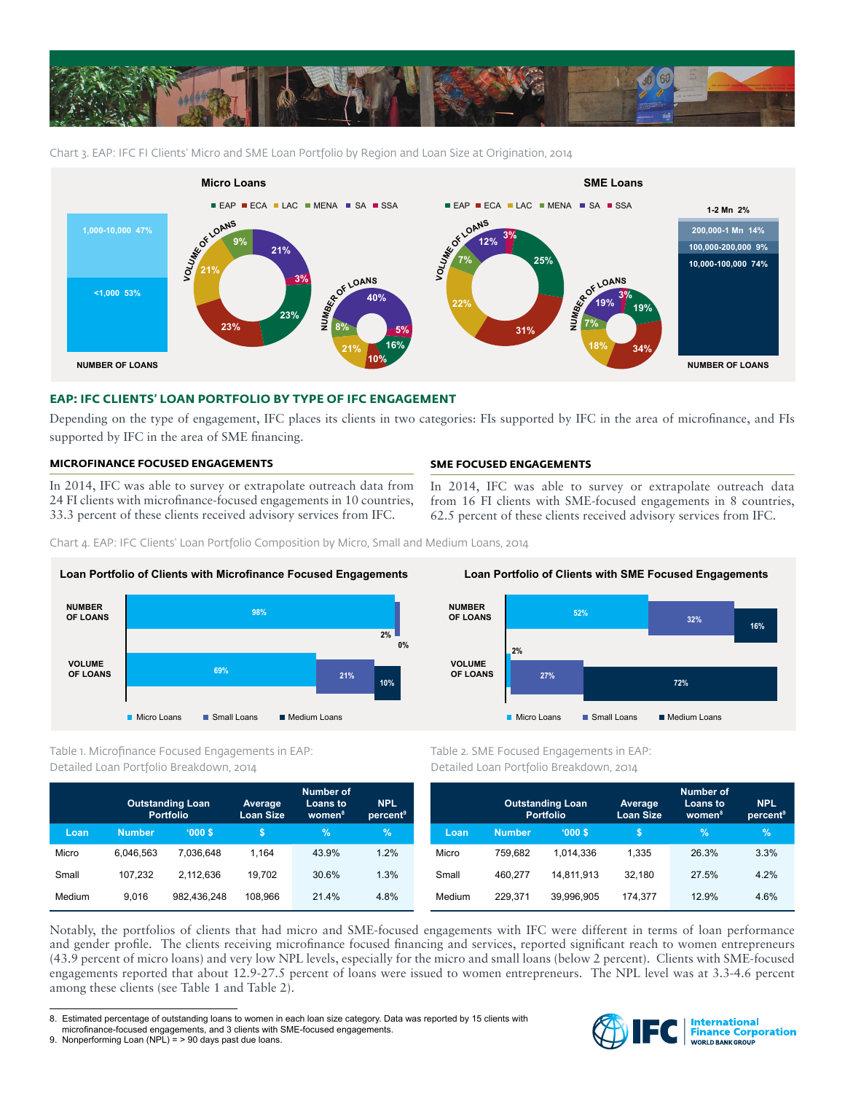

Chart 3. EAP: IFC FI Clients' Micro and SME Loan Portfolio by Region and Loan Size at Origination, 2014



### **EAP: IFC CLIENTS' LOAN PORTFOLIO BY TYPE OF IFC ENGAGEMENT**

Depending on the type of engagement, IFC places its clients in two categories: FIs supported by IFC in the area of microfinance, and FIs supported by IFC in the area of SME financing.

### **MICROFINANCE FOCUSED ENGAGEMENTS**

In 2014, IFC was able to survey or extrapolate outreach data from 24 FI clients with microfinance-focused engagements in 10 countries, 33.3 percent of these clients received advisory services from IFC.

### **SME FOCUSED ENGAGEMENTS**

In 2014, IFC was able to survey or extrapolate outreach data from 16 FI clients with SME-focused engagements in 8 countries, 62.5 percent of these clients received advisory services from IFC.

Chart 4. EAP: IFC Clients' Loan Portfolio Composition by Micro, Small and Medium Loans, 2014



Table 1. Microfinance Focused Engagements in EAP: Detailed Loan Portfolio Breakdown, 2014

|        | <b>Outstanding Loan</b><br><b>Portfolio</b> |             | Average<br><b>Loan Size</b> | Number of<br><b>Loans to</b><br>women <sup>8</sup> | <b>NPL</b><br>percent <sup>9</sup> |
|--------|---------------------------------------------|-------------|-----------------------------|----------------------------------------------------|------------------------------------|
| Loan   | <b>Number</b>                               | '000S       | \$                          | $\frac{9}{6}$                                      | %                                  |
| Micro  | 6.046.563                                   | 7.036.648   | 1.164                       | 43.9%                                              | 1.2%                               |
| Small  | 107.232                                     | 2.112.636   | 19.702                      | 30.6%                                              | 1.3%                               |
| Medium | 9.016                                       | 982.436.248 | 108.966                     | 21.4%                                              | 4.8%                               |



Table 2. SME Focused Engagements in EAP: Detailed Loan Portfolio Breakdown, 2014

|        | <b>Outstanding Loan</b><br><b>Portfolio</b> |            | Average<br><b>Loan Size</b> | <b>Number of</b><br>Loans to<br>women <sup>8</sup> | <b>NPL</b><br>percent <sup>9</sup> |
|--------|---------------------------------------------|------------|-----------------------------|----------------------------------------------------|------------------------------------|
| Loan   | <b>Number</b>                               | '000S      | S                           | %                                                  | $\%$                               |
| Micro  | 759.682                                     | 1.014.336  | 1.335                       | 26.3%                                              | 3.3%                               |
| Small  | 460.277                                     | 14,811,913 | 32.180                      | 27.5%                                              | 4.2%                               |
| Medium | 229.371                                     | 39.996.905 | 174.377                     | 12.9%                                              | 4.6%                               |

Notably, the portfolios of clients that had micro and SME-focused engagements with IFC were different in terms of loan performance and gender profile. The clients receiving microfinance focused financing and services, reported significant reach to women entrepreneurs (43.9 percent of micro loans) and very low NPL levels, especially for the micro and small loans (below 2 percent). Clients with SME-focused engagements reported that about 12.9-27.5 percent of loans were issued to women entrepreneurs. The NPL level was at 3.3-4.6 percent among these clients (see Table 1 and Table 2).



<sup>8.</sup> Estimated percentage of outstanding loans to women in each loan size category. Data was reported by 15 clients with microfinance-focused engagements, and 3 clients with SME-focused engagements.

<sup>9.</sup> Nonperforming Loan (NPL) = > 90 days past due loans.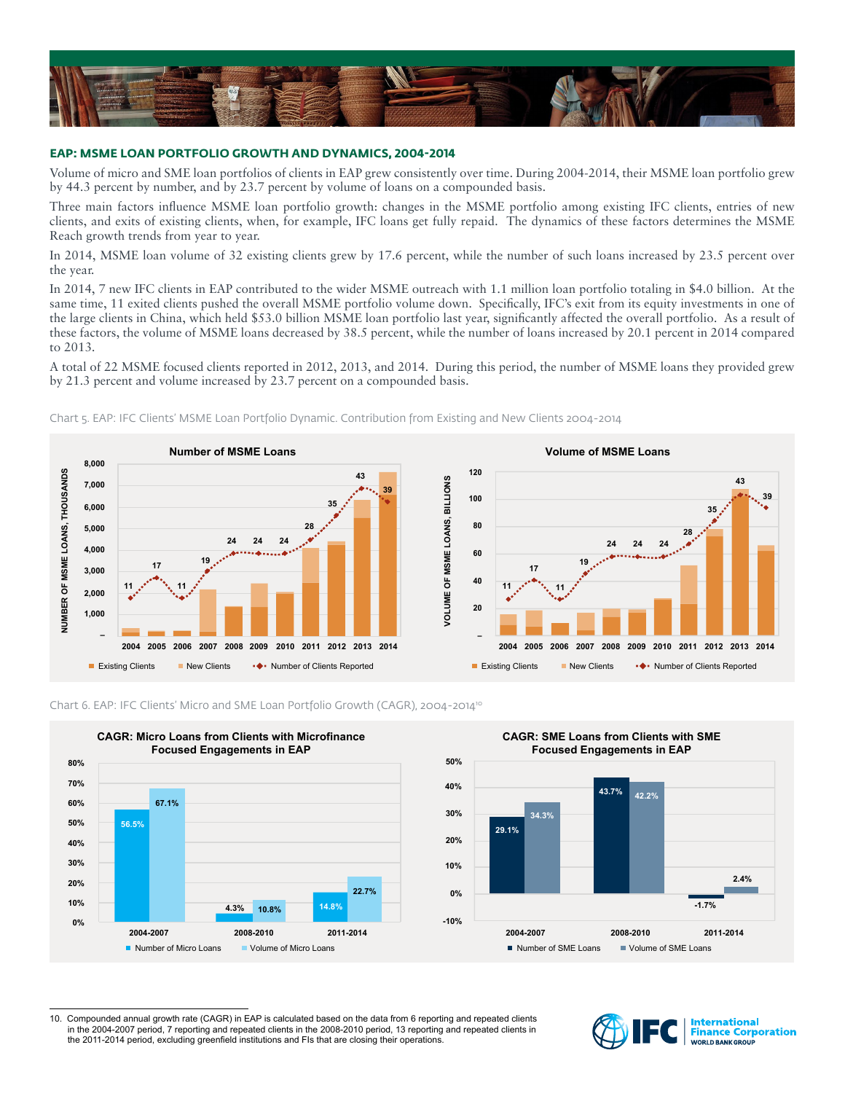

### **EAP: MSME LOAN PORTFOLIO GROWTH AND DYNAMICS, 2004-2014**

Volume of micro and SME loan portfolios of clients in EAP grew consistently over time. During 2004-2014, their MSME loan portfolio grew by 44.3 percent by number, and by 23.7 percent by volume of loans on a compounded basis.

Three main factors influence MSME loan portfolio growth: changes in the MSME portfolio among existing IFC clients, entries of new clients, and exits of existing clients, when, for example, IFC loans get fully repaid. The dynamics of these factors determines the MSME Reach growth trends from year to year.

In 2014, MSME loan volume of 32 existing clients grew by 17.6 percent, while the number of such loans increased by 23.5 percent over the year.

In 2014, 7 new IFC clients in EAP contributed to the wider MSME outreach with 1.1 million loan portfolio totaling in \$4.0 billion. At the same time, 11 exited clients pushed the overall MSME portfolio volume down. Specifically, IFC's exit from its equity investments in one of the large clients in China, which held \$53.0 billion MSME loan portfolio last year, significantly affected the overall portfolio. As a result of these factors, the volume of MSME loans decreased by 38.5 percent, while the number of loans increased by 20.1 percent in 2014 compared to 2013.

A total of 22 MSME focused clients reported in 2012, 2013, and 2014. During this period, the number of MSME loans they provided grew by 21.3 percent and volume increased by 23.7 percent on a compounded basis.











<sup>10.</sup> Compounded annual growth rate (CAGR) in EAP is calculated based on the data from 6 reporting and repeated clients in the 2004-2007 period, 7 reporting and repeated clients in the 2008-2010 period, 13 reporting and repeated clients in